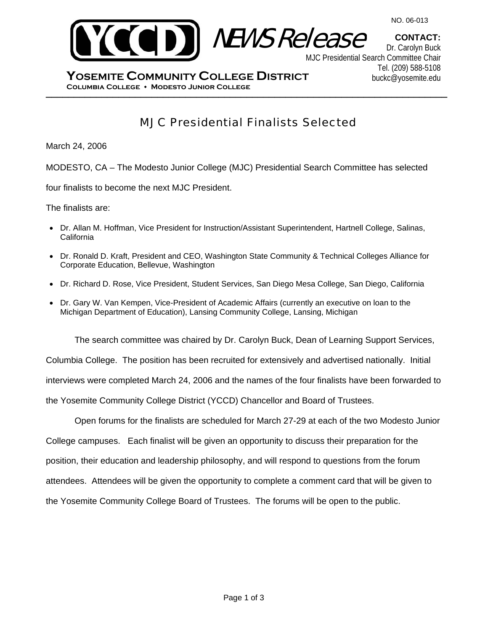

**CONTACT:**



Dr. Carolyn Buck MJC Presidential Search Committee Chair Tel. (209) 588-5108 buckc@yosemite.edu

\_\_\_\_\_\_\_\_\_\_\_\_\_\_\_\_\_\_\_\_\_\_\_\_\_\_\_\_\_\_\_\_\_\_\_\_\_\_\_\_\_\_\_\_\_\_\_\_\_\_\_\_\_\_\_\_\_\_\_\_\_\_\_\_\_\_\_\_\_\_\_\_ **Columbia College Modesto Junior College YOSEMITE COMMUNITY COLLEGE DISTRICT**

# MJC Presidential Finalists Selected

March 24, 2006

MODESTO, CA – The Modesto Junior College (MJC) Presidential Search Committee has selected

four finalists to become the next MJC President.

The finalists are:

- Dr. Allan M. Hoffman, Vice President for Instruction/Assistant Superintendent, Hartnell College, Salinas, **California**
- Dr. Ronald D. Kraft, President and CEO, Washington State Community & Technical Colleges Alliance for Corporate Education, Bellevue, Washington
- Dr. Richard D. Rose, Vice President, Student Services, San Diego Mesa College, San Diego, California
- Dr. Gary W. Van Kempen, Vice-President of Academic Affairs (currently an executive on loan to the Michigan Department of Education), Lansing Community College, Lansing, Michigan

The search committee was chaired by Dr. Carolyn Buck, Dean of Learning Support Services, Columbia College. The position has been recruited for extensively and advertised nationally. Initial interviews were completed March 24, 2006 and the names of the four finalists have been forwarded to the Yosemite Community College District (YCCD) Chancellor and Board of Trustees.

Open forums for the finalists are scheduled for March 27-29 at each of the two Modesto Junior College campuses. Each finalist will be given an opportunity to discuss their preparation for the position, their education and leadership philosophy, and will respond to questions from the forum attendees. Attendees will be given the opportunity to complete a comment card that will be given to the Yosemite Community College Board of Trustees. The forums will be open to the public.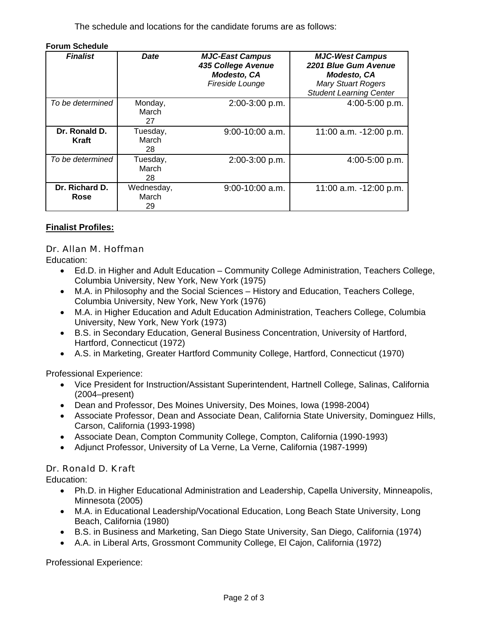The schedule and locations for the candidate forums are as follows:

| <b>Forum Schedule</b>  |                           |                                                                                       |                                                                                                                                     |
|------------------------|---------------------------|---------------------------------------------------------------------------------------|-------------------------------------------------------------------------------------------------------------------------------------|
| <b>Finalist</b>        | Date                      | <b>MJC-East Campus</b><br>435 College Avenue<br><b>Modesto, CA</b><br>Fireside Lounge | <b>MJC-West Campus</b><br>2201 Blue Gum Avenue<br><b>Modesto, CA</b><br><b>Mary Stuart Rogers</b><br><b>Student Learning Center</b> |
| To be determined       | Monday,<br>March<br>27    | 2:00-3:00 p.m.                                                                        | 4:00-5:00 p.m.                                                                                                                      |
| Dr. Ronald D.<br>Kraft | Tuesday,<br>March<br>28   | $9:00-10:00$ a.m.                                                                     | 11:00 a.m. -12:00 p.m.                                                                                                              |
| To be determined       | Tuesday,<br>March<br>28   | 2:00-3:00 p.m.                                                                        | 4:00-5:00 p.m.                                                                                                                      |
| Dr. Richard D.<br>Rose | Wednesday,<br>March<br>29 | $9:00-10:00$ a.m.                                                                     | 11:00 a.m. -12:00 p.m.                                                                                                              |

### **Finalist Profiles:**

#### Dr. Allan M. Hoffman

Education:

- Ed.D. in Higher and Adult Education Community College Administration, Teachers College, Columbia University, New York, New York (1975)
- M.A. in Philosophy and the Social Sciences History and Education, Teachers College, Columbia University, New York, New York (1976)
- M.A. in Higher Education and Adult Education Administration, Teachers College, Columbia University, New York, New York (1973)
- B.S. in Secondary Education, General Business Concentration, University of Hartford, Hartford, Connecticut (1972)
- A.S. in Marketing, Greater Hartford Community College, Hartford, Connecticut (1970)

Professional Experience:

- Vice President for Instruction/Assistant Superintendent, Hartnell College, Salinas, California (2004–present)
- Dean and Professor, Des Moines University, Des Moines, Iowa (1998-2004)
- Associate Professor, Dean and Associate Dean, California State University, Dominguez Hills, Carson, California (1993-1998)
- Associate Dean, Compton Community College, Compton, California (1990-1993)
- Adjunct Professor, University of La Verne, La Verne, California (1987-1999)

# Dr. Ronald D. Kraft

Education:

- Ph.D. in Higher Educational Administration and Leadership, Capella University, Minneapolis, Minnesota (2005)
- M.A. in Educational Leadership/Vocational Education, Long Beach State University, Long Beach, California (1980)
- B.S. in Business and Marketing, San Diego State University, San Diego, California (1974)
- A.A. in Liberal Arts, Grossmont Community College, El Cajon, California (1972)

Professional Experience: